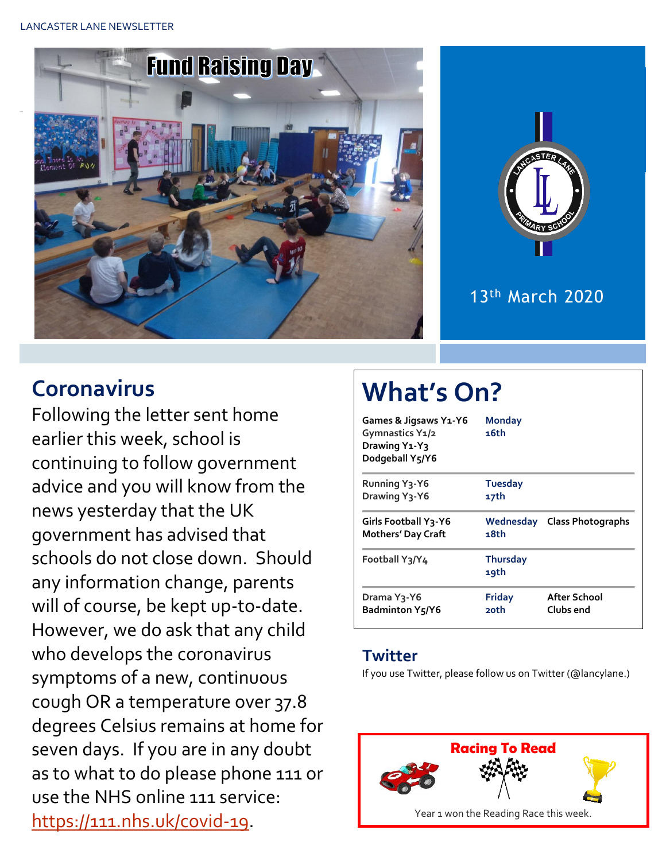LANCASTER LANE NEWSLETTER





## 13th March 2020

## **Coronavirus**

Following the letter sent home earlier this week, school is continuing to follow government advice and you will know from the news yesterday that the UK government has advised that schools do not close down. Should any information change, parents will of course, be kept up-to-date. However, we do ask that any child who develops the coronavirus symptoms of a new, continuous cough OR a temperature over 37.8 degrees Celsius remains at home for seven days. If you are in any doubt as to what to do please phone 111 or use the NHS online 111 service: [https://111.nhs.uk/covid-19.](https://111.nhs.uk/covid-19)

# **What's On?**

| Games & Jigsaws Y1-Y6<br>Gymnastics Y1/2<br>Drawing Y <sub>1</sub> -Y <sub>3</sub><br>Dodgeball Y5/Y6 | <b>Monday</b><br>16th   |                             |  |  |  |
|-------------------------------------------------------------------------------------------------------|-------------------------|-----------------------------|--|--|--|
| <b>Running Y3-Y6</b>                                                                                  | <b>Tuesday</b>          |                             |  |  |  |
| Drawing Y <sub>3</sub> -Y6                                                                            | 17th                    |                             |  |  |  |
| <b>Girls Football Y3-Y6</b><br><b>Mothers' Day Craft</b>                                              | 18th                    | Wednesday Class Photographs |  |  |  |
| Football Y3/Y4                                                                                        | <b>Thursday</b><br>19th |                             |  |  |  |
| Drama Y3-Y6<br><b>Badminton Y5/Y6</b>                                                                 | Friday<br>20th          | After School<br>Clubs end   |  |  |  |

#### **Twitter**

If you use Twitter, please follow us on Twitter (@lancylane.)

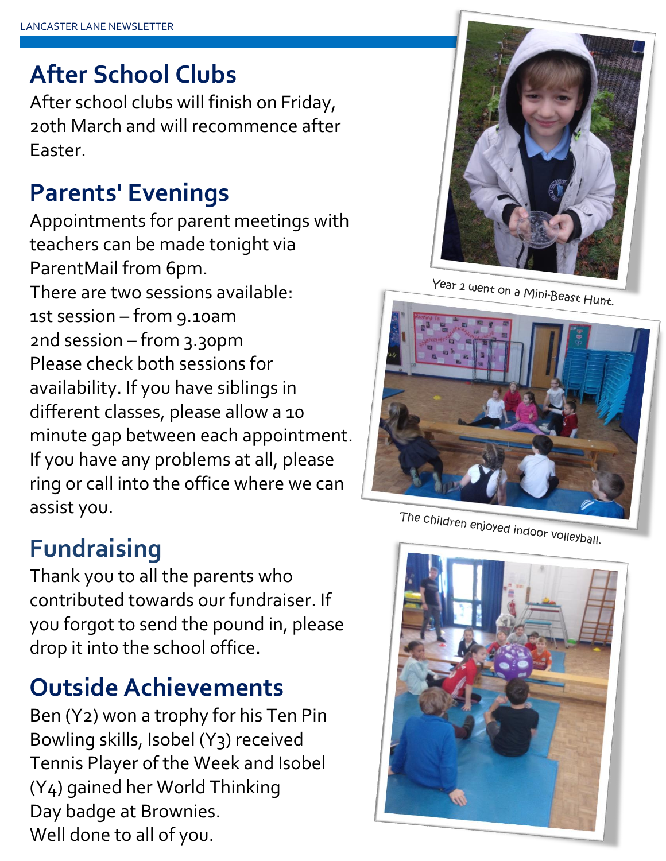# **After School Clubs**

After school clubs will finish on Friday, 20th March and will recommence after Easter.

# **Parents' Evenings**

Appointments for parent meetings with teachers can be made tonight via ParentMail from 6pm. There are two sessions available: 1st session – from 9.10am 2nd session – from 3.30pm Please check both sessions for availability. If you have siblings in different classes, please allow a 10 minute gap between each appointment. If you have any problems at all, please ring or call into the office where we can assist you.

# **Fundraising**

Thank you to all the parents who contributed towards our fundraiser. If you forgot to send the pound in, please drop it into the school office.

## **Outside Achievements**

Ben (Y2) won a trophy for his Ten Pin Bowling skills, Isobel (Y3) received Tennis Player of the Week and Isobel (Y4) gained her World Thinking Day badge at Brownies. Well done to all of you.



Year 2 went on a Mini-Beast Hunt.



The children enjoyed indoor volleyball.